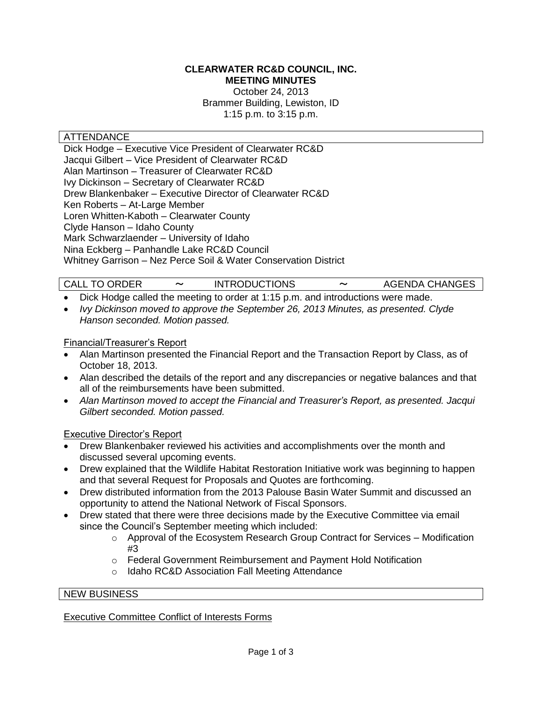#### **CLEARWATER RC&D COUNCIL, INC. MEETING MINUTES**

October 24, 2013 Brammer Building, Lewiston, ID 1:15 p.m. to 3:15 p.m.

## ATTENDANCE

Dick Hodge – Executive Vice President of Clearwater RC&D Jacqui Gilbert – Vice President of Clearwater RC&D Alan Martinson – Treasurer of Clearwater RC&D Ivy Dickinson – Secretary of Clearwater RC&D Drew Blankenbaker – Executive Director of Clearwater RC&D Ken Roberts – At-Large Member Loren Whitten-Kaboth – Clearwater County Clyde Hanson – Idaho County Mark Schwarzlaender – University of Idaho Nina Eckberg – Panhandle Lake RC&D Council Whitney Garrison – Nez Perce Soil & Water Conservation District

CALL TO ORDER 〜 INTRODUCTIONS 〜 AGENDA CHANGES

- Dick Hodge called the meeting to order at 1:15 p.m. and introductions were made.
- *Ivy Dickinson moved to approve the September 26, 2013 Minutes, as presented. Clyde Hanson seconded. Motion passed.*

#### Financial/Treasurer's Report

- Alan Martinson presented the Financial Report and the Transaction Report by Class, as of October 18, 2013.
- Alan described the details of the report and any discrepancies or negative balances and that all of the reimbursements have been submitted.
- *Alan Martinson moved to accept the Financial and Treasurer's Report, as presented. Jacqui Gilbert seconded. Motion passed.*

## Executive Director's Report

- Drew Blankenbaker reviewed his activities and accomplishments over the month and discussed several upcoming events.
- Drew explained that the Wildlife Habitat Restoration Initiative work was beginning to happen and that several Request for Proposals and Quotes are forthcoming.
- Drew distributed information from the 2013 Palouse Basin Water Summit and discussed an opportunity to attend the National Network of Fiscal Sponsors.
- Drew stated that there were three decisions made by the Executive Committee via email since the Council's September meeting which included:
	- $\circ$  Approval of the Ecosystem Research Group Contract for Services Modification #3
	- o Federal Government Reimbursement and Payment Hold Notification
	- o Idaho RC&D Association Fall Meeting Attendance

#### NEW BUSINESS

#### Executive Committee Conflict of Interests Forms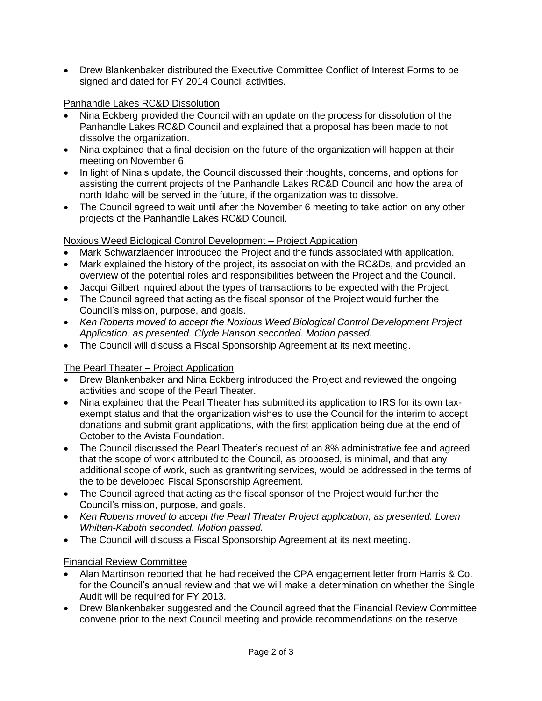Drew Blankenbaker distributed the Executive Committee Conflict of Interest Forms to be signed and dated for FY 2014 Council activities.

## Panhandle Lakes RC&D Dissolution

- Nina Eckberg provided the Council with an update on the process for dissolution of the Panhandle Lakes RC&D Council and explained that a proposal has been made to not dissolve the organization.
- Nina explained that a final decision on the future of the organization will happen at their meeting on November 6.
- In light of Nina's update, the Council discussed their thoughts, concerns, and options for assisting the current projects of the Panhandle Lakes RC&D Council and how the area of north Idaho will be served in the future, if the organization was to dissolve.
- The Council agreed to wait until after the November 6 meeting to take action on any other projects of the Panhandle Lakes RC&D Council.

## Noxious Weed Biological Control Development – Project Application

- Mark Schwarzlaender introduced the Project and the funds associated with application.
- Mark explained the history of the project, its association with the RC&Ds, and provided an overview of the potential roles and responsibilities between the Project and the Council.
- Jacqui Gilbert inquired about the types of transactions to be expected with the Project.
- The Council agreed that acting as the fiscal sponsor of the Project would further the Council's mission, purpose, and goals.
- *Ken Roberts moved to accept the Noxious Weed Biological Control Development Project Application, as presented. Clyde Hanson seconded. Motion passed.*
- The Council will discuss a Fiscal Sponsorship Agreement at its next meeting.

# The Pearl Theater – Project Application

- Drew Blankenbaker and Nina Eckberg introduced the Project and reviewed the ongoing activities and scope of the Pearl Theater.
- Nina explained that the Pearl Theater has submitted its application to IRS for its own taxexempt status and that the organization wishes to use the Council for the interim to accept donations and submit grant applications, with the first application being due at the end of October to the Avista Foundation.
- The Council discussed the Pearl Theater's request of an 8% administrative fee and agreed that the scope of work attributed to the Council, as proposed, is minimal, and that any additional scope of work, such as grantwriting services, would be addressed in the terms of the to be developed Fiscal Sponsorship Agreement.
- The Council agreed that acting as the fiscal sponsor of the Project would further the Council's mission, purpose, and goals.
- *Ken Roberts moved to accept the Pearl Theater Project application, as presented. Loren Whitten-Kaboth seconded. Motion passed.*
- The Council will discuss a Fiscal Sponsorship Agreement at its next meeting.

## Financial Review Committee

- Alan Martinson reported that he had received the CPA engagement letter from Harris & Co. for the Council's annual review and that we will make a determination on whether the Single Audit will be required for FY 2013.
- Drew Blankenbaker suggested and the Council agreed that the Financial Review Committee convene prior to the next Council meeting and provide recommendations on the reserve